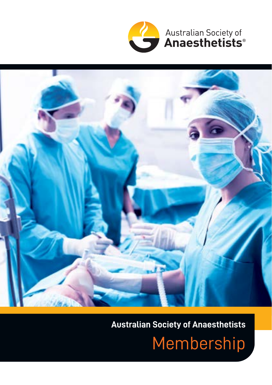

Australian Society of<br>**Anaesthetists**®



## **Australian Society of Anaesthetists**

Membership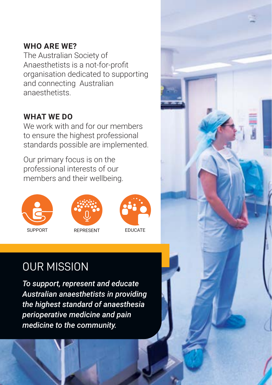#### **WHO ARE WE?**

The Australian Society of Anaesthetists is a not-for-profit organisation dedicated to supporting and connecting Australian anaesthetists.

### **WHAT WE DO**

We work with and for our members to ensure the highest professional standards possible are implemented.

Our primary focus is on the professional interests of our members and their wellbeing.







# OUR MISSION

*To support, represent and educate Australian anaesthetists in providing the highest standard of anaesthesia perioperative medicine and pain medicine to the community.*

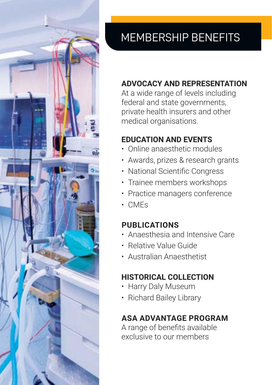

# MEMBERSHIP BENEFITS

### **ADVOCACY AND REPRESENTATION**

At a wide range of levels including federal and state governments, private health insurers and other medical organisations.

### **EDUCATION AND EVENTS**

- Online anaesthetic modules
- Awards, prizes & research grants
- National Scientific Congress
- Trainee members workshops
- Practice managers conference
- CMEs

### **PUBLICATIONS**

- Anaesthesia and Intensive Care
- Relative Value Guide
- Australian Anaesthetist

### **HISTORICAL COLLECTION**

- Harry Daly Museum
- Richard Bailey Library

### **ASA ADVANTAGE PROGRAM**

A range of benefits available exclusive to our members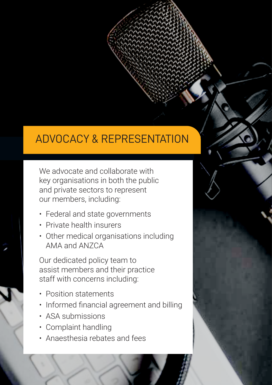## ADVOCACY & REPRESENTATION

We advocate and collaborate with key organisations in both the public and private sectors to represent our members, including:

- Federal and state governments
- Private health insurers
- Other medical organisations including AMA and ANZCA

Our dedicated policy team to assist members and their practice staff with concerns including:

- Position statements
- Informed financial agreement and billing
- ASA submissions
- Complaint handling
- Anaesthesia rebates and fees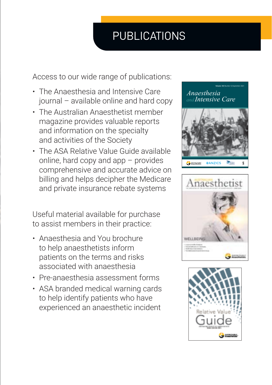# PUBLICATIONS

Access to our wide range of publications:

- The Anaesthesia and Intensive Care journal – available online and hard copy
- The Australian Anaesthetist member magazine provides valuable reports and information on the specialty and activities of the Society
- The ASA Relative Value Guide available online, hard copy and app – provides comprehensive and accurate advice on billing and helps decipher the Medicare and private insurance rebate systems

Useful material available for purchase to assist members in their practice:

- Anaesthesia and You brochure to help anaesthetists inform patients on the terms and risks associated with anaesthesia
- Pre-anaesthesia assessment forms
- ASA branded medical warning cards to help identify patients who have experienced an anaesthetic incident



**Volume 49**│Number 5│September 2021





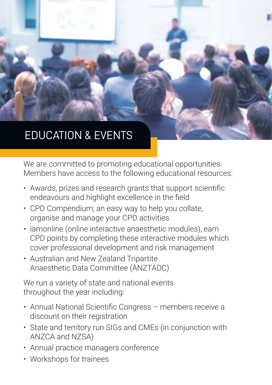# EDUCATION & EVENTS

We are committed to promoting educational opportunities. Members have access to the following educational resources:

- Awards, prizes and research grants that support scientific endeavours and highlight excellence in the field
- CPD Compendium; an easy way to help you collate, organise and manage your CPD activities
- iamonline (online interactive anaesthetic modules), earn CPD points by completing these interactive modules which cover professional development and risk management
- Australian and New Zealand Tripartite Anaesthetic Data Committee (ANZTADC)

We run a variety of state and national events throughout the year including:

- Annual National Scientific Congress members receive a discount on their registration
- State and territory run SIGs and CMEs (in conjunction with ANZCA and NZSA)
- Annual practice managers conference
- Workshops for trainees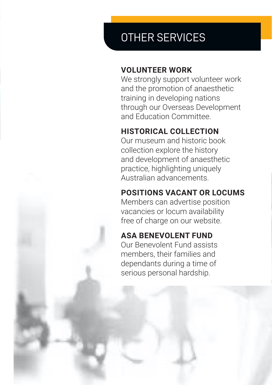# OTHER SERVICES

#### **VOLUNTEER WORK**

We strongly support volunteer work and the promotion of anaesthetic training in developing nations through our Overseas Development and Education Committee.

### **HISTORICAL COLLECTION**

Our museum and historic book collection explore the history and development of anaesthetic practice, highlighting uniquely Australian advancements.

### **POSITIONS VACANT OR LOCUMS**

Members can advertise position vacancies or locum availability free of charge on our website.

### **ASA BENEVOLENT FUND**

Our Benevolent Fund assists members, their families and dependants during a time of serious personal hardship.